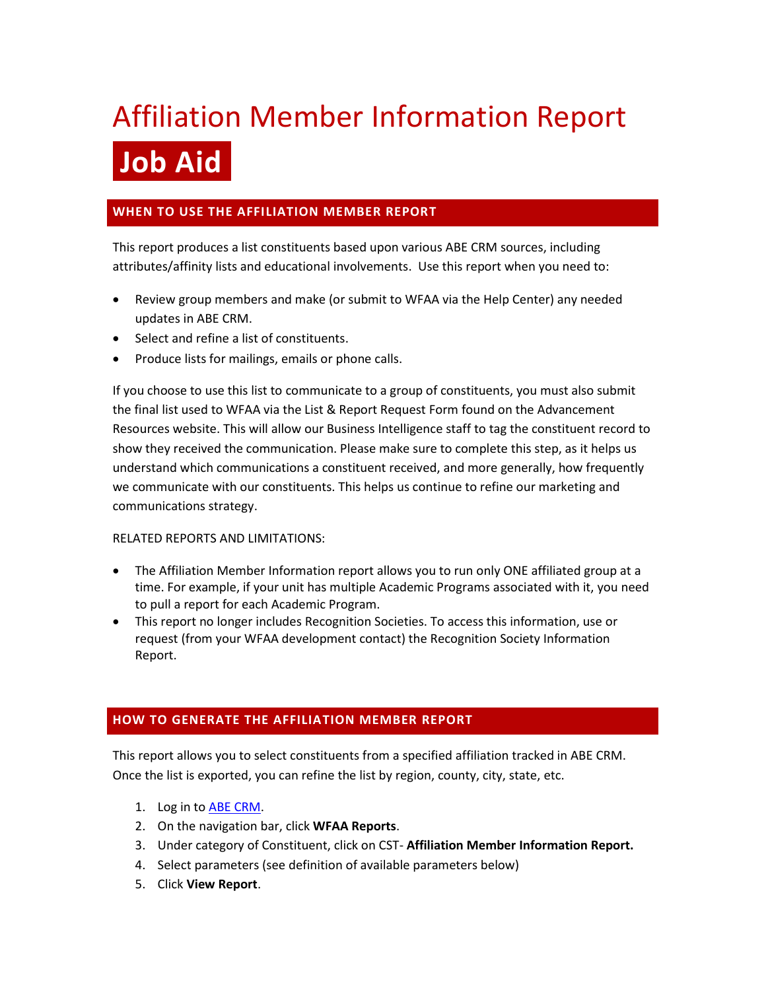# Affiliation Member Information Report **Job Aid**

## **WHEN TO USE THE AFFILIATION MEMBER REPORT**

This report produces a list constituents based upon various ABE CRM sources, including attributes/affinity lists and educational involvements. Use this report when you need to:

- Review group members and make (or submit to WFAA via the Help Center) any needed updates in ABE CRM.
- Select and refine a list of constituents.
- Produce lists for mailings, emails or phone calls.

If you choose to use this list to communicate to a group of constituents, you must also submit the final list used to WFAA via the List & Report Request Form found on the Advancement Resources website. This will allow our Business Intelligence staff to tag the constituent record to show they received the communication. Please make sure to complete this step, as it helps us understand which communications a constituent received, and more generally, how frequently we communicate with our constituents. This helps us continue to refine our marketing and communications strategy.

#### RELATED REPORTS AND LIMITATIONS:

- The Affiliation Member Information report allows you to run only ONE affiliated group at a time. For example, if your unit has multiple Academic Programs associated with it, you need to pull a report for each Academic Program.
- This report no longer includes Recognition Societies. To access this information, use or request (from your WFAA development contact) the Recognition Society Information Report.

### **HOW TO GENERATE THE AFFILIATION MEMBER REPORT**

This report allows you to select constituents from a specified affiliation tracked in ABE CRM. Once the list is exported, you can refine the list by region, county, city, state, etc.

- 1. Log in to [ABE CRM.](https://abe.uwadvancement.org/)
- 2. On the navigation bar, click **WFAA Reports**.
- 3. Under category of Constituent, click on CST- **Affiliation Member Information Report.**
- 4. Select parameters (see definition of available parameters below)
- 5. Click **View Report**.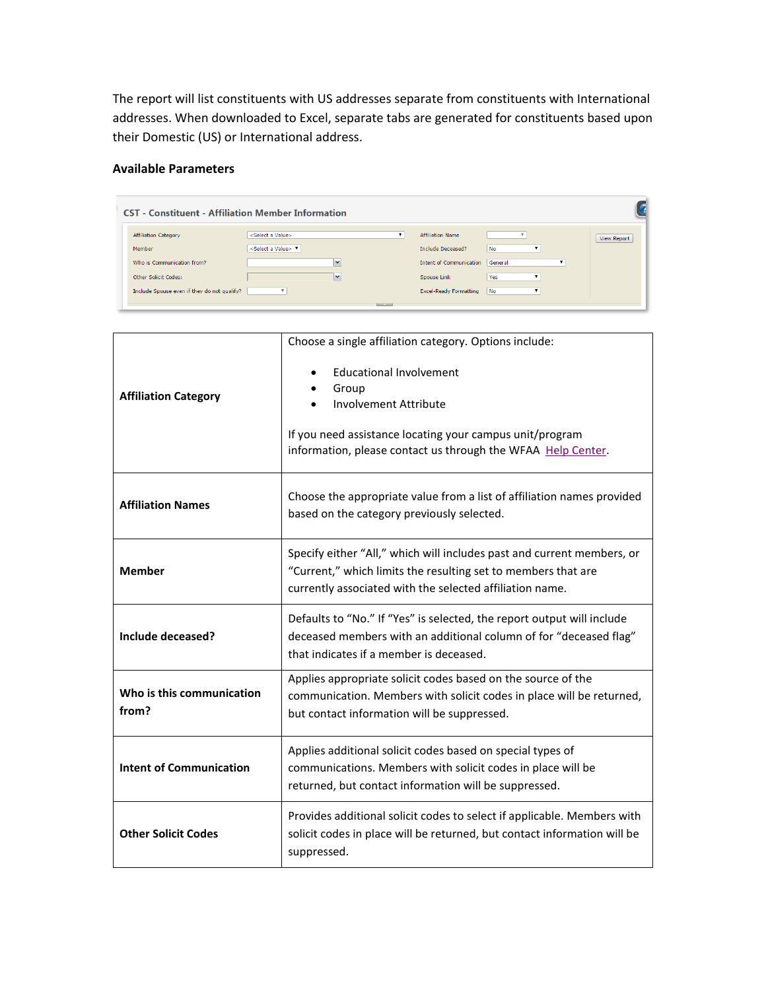The report will list constituents with US addresses separate from constituents with International addresses. When downloaded to Excel, separate tabs are generated for constituents based upon their Domestic (US) or International address.

#### **Available Parameters**

| <b>CST</b> - Constituent - Affiliation Member Information           |                                                                       |                         |                                                     |                  |              |                    |  |  |
|---------------------------------------------------------------------|-----------------------------------------------------------------------|-------------------------|-----------------------------------------------------|------------------|--------------|--------------------|--|--|
| <b>Affiliation Category</b><br>Member                               | <select a="" value=""><br/><select a="" value=""> ▼</select></select> | ▼                       | <b>Affiliation Name</b><br><b>Include Deceased?</b> | No               |              | <b>View Report</b> |  |  |
| Who is Communication from?                                          | $\overline{\phantom{a}}$                                              |                         | Intent of Communication General                     |                  | $\mathbf{v}$ |                    |  |  |
| Other Solicit Codes:<br>Include Spouse even if they do not qualify? | $\checkmark$                                                          |                         | Spouse Link<br><b>Excel-Ready Formatting</b>        | Yes<br><b>No</b> |              |                    |  |  |
|                                                                     |                                                                       | <b>Contract Service</b> |                                                     |                  |              |                    |  |  |

|                                    | Choose a single affiliation category. Options include:                                                                                                                                              |
|------------------------------------|-----------------------------------------------------------------------------------------------------------------------------------------------------------------------------------------------------|
| <b>Affiliation Category</b>        | <b>Educational Involvement</b><br>Group<br><b>Involvement Attribute</b><br>If you need assistance locating your campus unit/program<br>information, please contact us through the WFAA Help Center. |
| <b>Affiliation Names</b>           | Choose the appropriate value from a list of affiliation names provided<br>based on the category previously selected.                                                                                |
| <b>Member</b>                      | Specify either "All," which will includes past and current members, or<br>"Current," which limits the resulting set to members that are<br>currently associated with the selected affiliation name. |
| Include deceased?                  | Defaults to "No." If "Yes" is selected, the report output will include<br>deceased members with an additional column of for "deceased flag"<br>that indicates if a member is deceased.              |
| Who is this communication<br>from? | Applies appropriate solicit codes based on the source of the<br>communication. Members with solicit codes in place will be returned,<br>but contact information will be suppressed.                 |
| <b>Intent of Communication</b>     | Applies additional solicit codes based on special types of<br>communications. Members with solicit codes in place will be<br>returned, but contact information will be suppressed.                  |
| <b>Other Solicit Codes</b>         | Provides additional solicit codes to select if applicable. Members with<br>solicit codes in place will be returned, but contact information will be<br>suppressed.                                  |